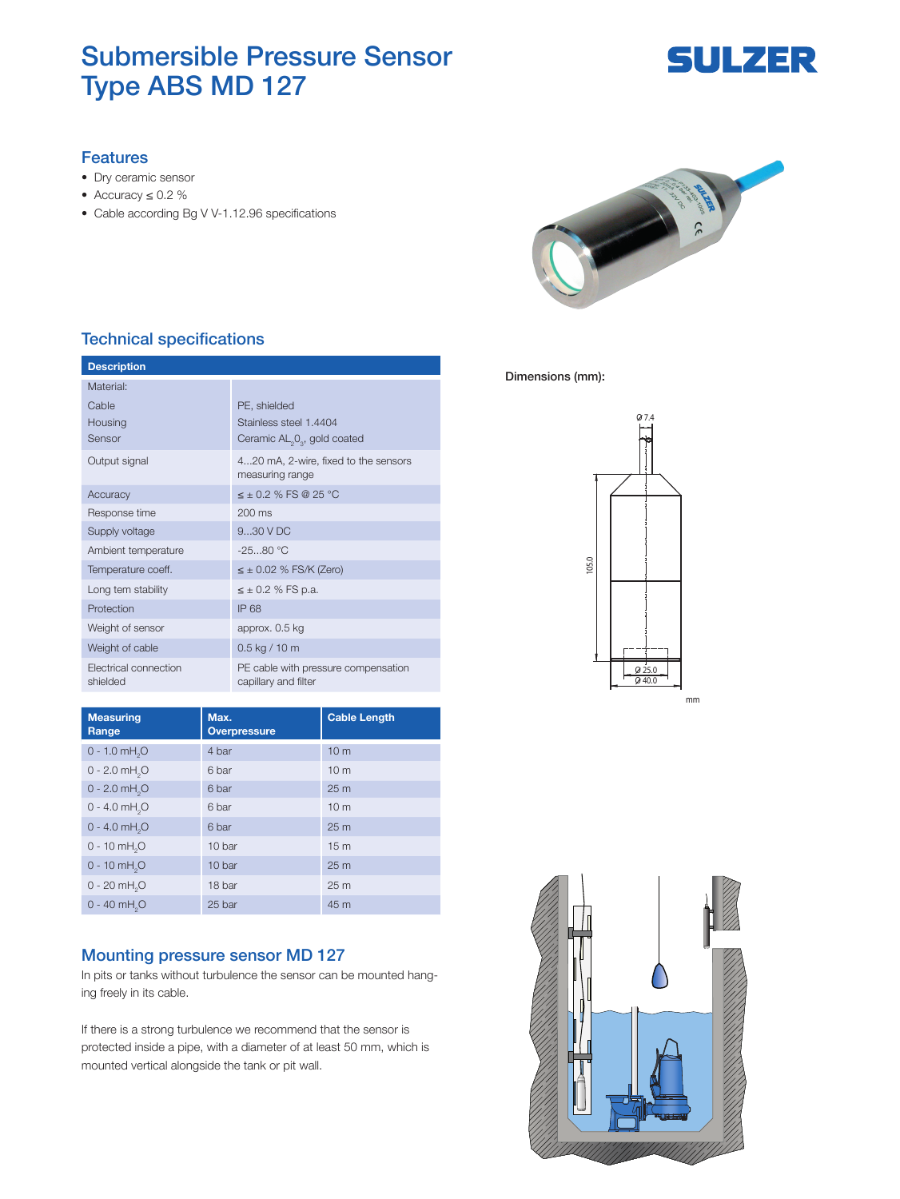## Submersible Pressure Sensor Type ABS MD 127

# **SULZER**

#### Features

- Dry ceramic sensor
- Accuracy ≤ 0.2 %
- Cable according Bg V V-1.12.96 specifications



### Technical specifications

| <b>Description</b>                |                                                             |  |
|-----------------------------------|-------------------------------------------------------------|--|
| Material:                         |                                                             |  |
| Cable                             | PE, shielded                                                |  |
| Housing                           | Stainless steel 1.4404                                      |  |
| Sensor                            | Ceramic AL <sub>2</sub> 0 <sub>2</sub> , gold coated        |  |
| Output signal                     | 420 mA, 2-wire, fixed to the sensors<br>measuring range     |  |
| Accuracy                          | $\leq \pm 0.2$ % FS @ 25 °C                                 |  |
| Response time                     | $200 \text{ ms}$                                            |  |
| Supply voltage                    | 930VDC                                                      |  |
| Ambient temperature               | $-2580 °C$                                                  |  |
| Temperature coeff.                | $\leq \pm$ 0.02 % FS/K (Zero)                               |  |
| Long tem stability                | $\leq \pm 0.2$ % FS p.a.                                    |  |
| Protection                        | IP 68                                                       |  |
| Weight of sensor                  | approx. 0.5 kg                                              |  |
| Weight of cable                   | $0.5$ kg / 10 m                                             |  |
| Electrical connection<br>shielded | PE cable with pressure compensation<br>capillary and filter |  |

| <b>Measuring</b><br>Range   | Max.<br><b>Overpressure</b> | <b>Cable Length</b> |
|-----------------------------|-----------------------------|---------------------|
| $0 - 1.0$ mH <sub>2</sub> O | 4 bar                       | 10 <sub>m</sub>     |
| $0 - 2.0$ mH <sub>2</sub> O | 6 bar                       | 10 <sub>m</sub>     |
| $0 - 2.0$ mH <sub>2</sub> O | 6 bar                       | 25 <sub>m</sub>     |
| $0 - 4.0$ mH <sub>2</sub> O | 6 bar                       | 10 <sub>m</sub>     |
| $0 - 4.0$ mH <sub>2</sub> O | 6 bar                       | 25 <sub>m</sub>     |
| $0 - 10$ mH <sub>2</sub> O  | 10 bar                      | 15 <sub>m</sub>     |
| $0 - 10$ mH <sub>2</sub> O  | 10 bar                      | 25 <sub>m</sub>     |
| $0 - 20$ mH <sub>2</sub> O  | 18 bar                      | 25 <sub>m</sub>     |
| $0 - 40$ mH <sub>2</sub> O  | 25 bar                      | 45 m                |

#### Mounting pressure sensor MD 127

In pits or tanks without turbulence the sensor can be mounted hanging freely in its cable.

If there is a strong turbulence we recommend that the sensor is protected inside a pipe, with a diameter of at least 50 mm, which is mounted vertical alongside the tank or pit wall.